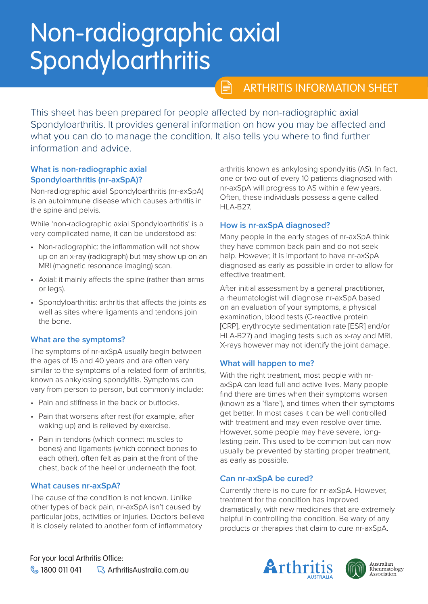# Non-radiographic axial **Spondyloarthritis**

# ARTHRITIS INFORMATION SHEET

This sheet has been prepared for people affected by non-radiographic axial Spondyloarthritis. It provides general information on how you may be affected and what you can do to manage the condition. It also tells you where to find further information and advice.

 $\mathbb{P}$ 

### **What is non-radiographic axial Spondyloarthritis (nr-axSpA)?**

Non-radiographic axial Spondyloarthritis (nr-axSpA) is an autoimmune disease which causes arthritis in the spine and pelvis.

While 'non-radiographic axial Spondyloarthritis' is a very complicated name, it can be understood as:

- Non-radiographic: the inflammation will not show up on an x-ray (radiograph) but may show up on an MRI (magnetic resonance imaging) scan.
- Axial: it mainly affects the spine (rather than arms or legs).
- Spondyloarthritis: arthritis that affects the joints as well as sites where ligaments and tendons join the bone.

# **What are the symptoms?**

The symptoms of nr-axSpA usually begin between the ages of 15 and 40 years and are often very similar to the symptoms of a related form of arthritis, known as ankylosing spondylitis. Symptoms can vary from person to person, but commonly include:

- Pain and stiffness in the back or buttocks.
- Pain that worsens after rest (for example, after waking up) and is relieved by exercise.
- Pain in tendons (which connect muscles to bones) and ligaments (which connect bones to each other), often felt as pain at the front of the chest, back of the heel or underneath the foot.

# **What causes nr-axSpA?**

The cause of the condition is not known. Unlike other types of back pain, nr-axSpA isn't caused by particular jobs, activities or injuries. Doctors believe it is closely related to another form of inflammatory

arthritis known as ankylosing spondylitis (AS). In fact, one or two out of every 10 patients diagnosed with nr-axSpA will progress to AS within a few years. Often, these individuals possess a gene called HLA-B27.

# **How is nr-axSpA diagnosed?**

Many people in the early stages of nr-axSpA think they have common back pain and do not seek help. However, it is important to have nr-axSpA diagnosed as early as possible in order to allow for effective treatment.

After initial assessment by a general practitioner, a rheumatologist will diagnose nr-axSpA based on an evaluation of your symptoms, a physical examination, blood tests (C-reactive protein [CRP], erythrocyte sedimentation rate [ESR] and/or HLA-B27) and imaging tests such as x-ray and MRI. X-rays however may not identify the joint damage.

# **What will happen to me?**

With the right treatment, most people with nraxSpA can lead full and active lives. Many people find there are times when their symptoms worsen (known as a 'flare'), and times when their symptoms get better. In most cases it can be well controlled with treatment and may even resolve over time. However, some people may have severe, longlasting pain. This used to be common but can now usually be prevented by starting proper treatment, as early as possible.

# **Can nr-axSpA be cured?**

Currently there is no cure for nr-axSpA. However, treatment for the condition has improved dramatically, with new medicines that are extremely helpful in controlling the condition. Be wary of any products or therapies that claim to cure nr-axSpA.